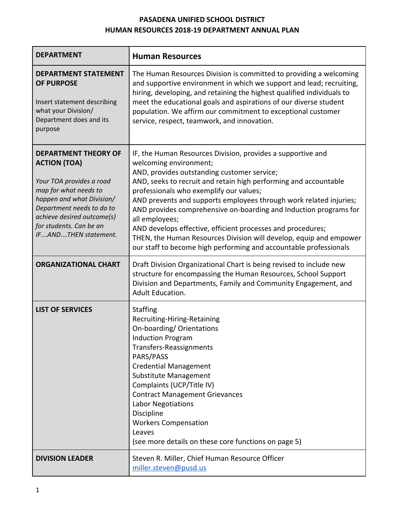# **PASADENA UNIFIED SCHOOL DISTRICT HUMAN RESOURCES 2018-19 DEPARTMENT ANNUAL PLAN**

| <b>DEPARTMENT</b>                                                                                                                                                                                                                                  | <b>Human Resources</b>                                                                                                                                                                                                                                                                                                                                                                                                                                                                                                                                                                                                     |
|----------------------------------------------------------------------------------------------------------------------------------------------------------------------------------------------------------------------------------------------------|----------------------------------------------------------------------------------------------------------------------------------------------------------------------------------------------------------------------------------------------------------------------------------------------------------------------------------------------------------------------------------------------------------------------------------------------------------------------------------------------------------------------------------------------------------------------------------------------------------------------------|
| <b>DEPARTMENT STATEMENT</b><br><b>OF PURPOSE</b><br>Insert statement describing<br>what your Division/<br>Department does and its<br>purpose                                                                                                       | The Human Resources Division is committed to providing a welcoming<br>and supportive environment in which we support and lead; recruiting,<br>hiring, developing, and retaining the highest qualified individuals to<br>meet the educational goals and aspirations of our diverse student<br>population. We affirm our commitment to exceptional customer<br>service, respect, teamwork, and innovation.                                                                                                                                                                                                                   |
| <b>DEPARTMENT THEORY OF</b><br><b>ACTION (TOA)</b><br>Your TOA provides a road<br>map for what needs to<br>happen and what Division/<br>Department needs to do to<br>achieve desired outcome(s)<br>for students. Can be an<br>IFANDTHEN statement. | IF, the Human Resources Division, provides a supportive and<br>welcoming environment;<br>AND, provides outstanding customer service;<br>AND, seeks to recruit and retain high performing and accountable<br>professionals who exemplify our values;<br>AND prevents and supports employees through work related injuries;<br>AND provides comprehensive on-boarding and Induction programs for<br>all employees;<br>AND develops effective, efficient processes and procedures;<br>THEN, the Human Resources Division will develop, equip and empower<br>our staff to become high performing and accountable professionals |
| <b>ORGANIZATIONAL CHART</b>                                                                                                                                                                                                                        | Draft Division Organizational Chart is being revised to include new<br>structure for encompassing the Human Resources, School Support<br>Division and Departments, Family and Community Engagement, and<br><b>Adult Education.</b>                                                                                                                                                                                                                                                                                                                                                                                         |
| <b>LIST OF SERVICES</b>                                                                                                                                                                                                                            | <b>Staffing</b><br>Recruiting-Hiring-Retaining<br>On-boarding/ Orientations<br><b>Induction Program</b><br>Transfers-Reassignments<br>PARS/PASS<br><b>Credential Management</b><br><b>Substitute Management</b><br>Complaints (UCP/Title IV)<br><b>Contract Management Grievances</b><br><b>Labor Negotiations</b><br>Discipline<br><b>Workers Compensation</b><br>Leaves<br>(see more details on these core functions on page 5)                                                                                                                                                                                          |
| <b>DIVISION LEADER</b>                                                                                                                                                                                                                             | Steven R. Miller, Chief Human Resource Officer<br>miller.steven@pusd.us                                                                                                                                                                                                                                                                                                                                                                                                                                                                                                                                                    |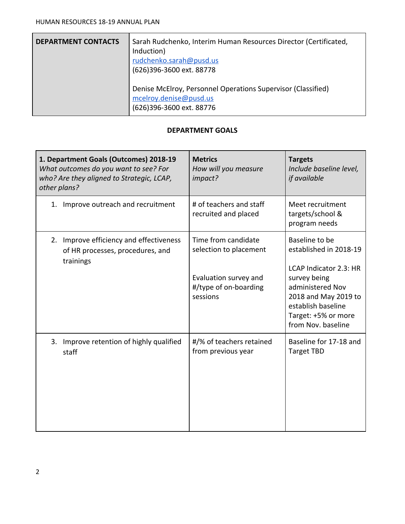| <b>DEPARTMENT CONTACTS</b> | Sarah Rudchenko, Interim Human Resources Director (Certificated,<br>Induction)<br>rudchenko.sarah@pusd.us<br>(626)396-3600 ext. 88778 |
|----------------------------|---------------------------------------------------------------------------------------------------------------------------------------|
|                            | Denise McElroy, Personnel Operations Supervisor (Classified)<br>mcelroy.denise@pusd.us<br>(626)396-3600 ext. 88776                    |

### **DEPARTMENT GOALS**

| 1. Department Goals (Outcomes) 2018-19<br>What outcomes do you want to see? For<br>who? Are they aligned to Strategic, LCAP,<br>other plans? | <b>Metrics</b><br>How will you measure<br>impact?                                                           | <b>Targets</b><br>Include baseline level,<br><i>if</i> available                                                                                                                                  |  |
|----------------------------------------------------------------------------------------------------------------------------------------------|-------------------------------------------------------------------------------------------------------------|---------------------------------------------------------------------------------------------------------------------------------------------------------------------------------------------------|--|
| 1. Improve outreach and recruitment                                                                                                          | # of teachers and staff<br>recruited and placed                                                             | Meet recruitment<br>targets/school &<br>program needs                                                                                                                                             |  |
| 2. Improve efficiency and effectiveness<br>of HR processes, procedures, and<br>trainings                                                     | Time from candidate<br>selection to placement<br>Evaluation survey and<br>#/type of on-boarding<br>sessions | Baseline to be<br>established in 2018-19<br>LCAP Indicator 2.3: HR<br>survey being<br>administered Nov<br>2018 and May 2019 to<br>establish baseline<br>Target: +5% or more<br>from Nov. baseline |  |
| 3. Improve retention of highly qualified<br>staff                                                                                            | #/% of teachers retained<br>from previous year                                                              | Baseline for 17-18 and<br><b>Target TBD</b>                                                                                                                                                       |  |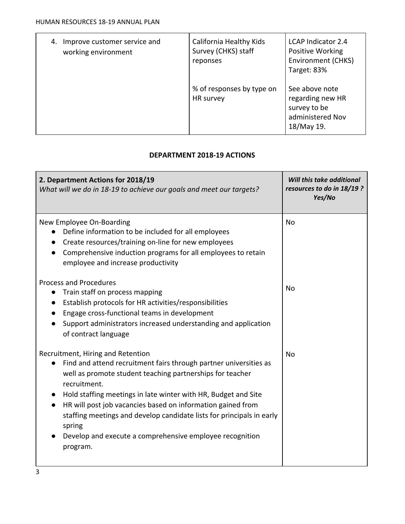| Improve customer service and<br>4.<br>working environment | California Healthy Kids<br>Survey (CHKS) staff<br>reponses | <b>LCAP Indicator 2.4</b><br>Positive Working<br><b>Environment (CHKS)</b><br>Target: 83% |
|-----------------------------------------------------------|------------------------------------------------------------|-------------------------------------------------------------------------------------------|
|                                                           | % of responses by type on<br>HR survey                     | See above note<br>regarding new HR<br>survey to be<br>administered Nov<br>18/May 19.      |

## **DEPARTMENT 2018-19 ACTIONS**

| 2. Department Actions for 2018/19<br>What will we do in 18-19 to achieve our goals and meet our targets?                                                                                                                                                                                                                                                                                                                                                                                     | Will this take additional<br>resources to do in 18/19 ?<br>Yes/No |  |  |
|----------------------------------------------------------------------------------------------------------------------------------------------------------------------------------------------------------------------------------------------------------------------------------------------------------------------------------------------------------------------------------------------------------------------------------------------------------------------------------------------|-------------------------------------------------------------------|--|--|
| New Employee On-Boarding<br>Define information to be included for all employees<br>Create resources/training on-line for new employees<br>Comprehensive induction programs for all employees to retain<br>employee and increase productivity                                                                                                                                                                                                                                                 | <b>No</b>                                                         |  |  |
| <b>Process and Procedures</b><br>Train staff on process mapping<br>$\bullet$<br>Establish protocols for HR activities/responsibilities<br>$\bullet$<br>Engage cross-functional teams in development<br>Support administrators increased understanding and application<br>of contract language                                                                                                                                                                                                | N <sub>0</sub>                                                    |  |  |
| Recruitment, Hiring and Retention<br>Find and attend recruitment fairs through partner universities as<br>well as promote student teaching partnerships for teacher<br>recruitment.<br>Hold staffing meetings in late winter with HR, Budget and Site<br>HR will post job vacancies based on information gained from<br>$\bullet$<br>staffing meetings and develop candidate lists for principals in early<br>spring<br>Develop and execute a comprehensive employee recognition<br>program. | <b>No</b>                                                         |  |  |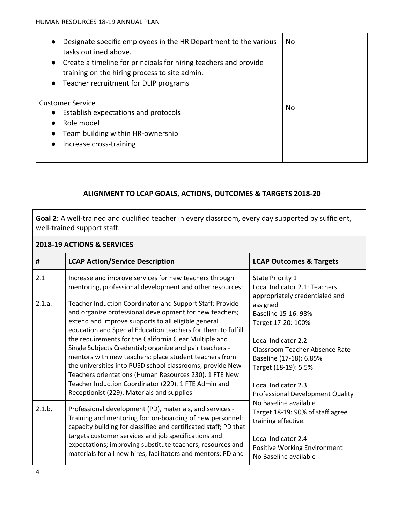| Designate specific employees in the HR Department to the various<br>tasks outlined above.<br>Create a timeline for principals for hiring teachers and provide<br>training on the hiring process to site admin.<br>Teacher recruitment for DLIP programs<br>$\bullet$ | No. |
|----------------------------------------------------------------------------------------------------------------------------------------------------------------------------------------------------------------------------------------------------------------------|-----|
| Customer Service<br>Establish expectations and protocols<br>Role model<br>Team building within HR-ownership<br>Increase cross-training                                                                                                                               | No  |

### **ALIGNMENT TO LCAP GOALS, ACTIONS, OUTCOMES & TARGETS 2018-20**

**Goal 2:** A well-trained and qualified teacher in every classroom, every day supported by sufficient, well-trained support staff.

| 2018-19 ACTIONS & SERVICES |                                                                                                                                                                                                                                                                                                                                                                                                                                                                                                                                                                                                                                                         |                                                                                                                                                                                                                                                                       |  |  |  |
|----------------------------|---------------------------------------------------------------------------------------------------------------------------------------------------------------------------------------------------------------------------------------------------------------------------------------------------------------------------------------------------------------------------------------------------------------------------------------------------------------------------------------------------------------------------------------------------------------------------------------------------------------------------------------------------------|-----------------------------------------------------------------------------------------------------------------------------------------------------------------------------------------------------------------------------------------------------------------------|--|--|--|
| #                          | <b>LCAP Action/Service Description</b>                                                                                                                                                                                                                                                                                                                                                                                                                                                                                                                                                                                                                  | <b>LCAP Outcomes &amp; Targets</b>                                                                                                                                                                                                                                    |  |  |  |
| 2.1                        | Increase and improve services for new teachers through<br>mentoring, professional development and other resources:                                                                                                                                                                                                                                                                                                                                                                                                                                                                                                                                      | <b>State Priority 1</b><br>Local Indicator 2.1: Teachers                                                                                                                                                                                                              |  |  |  |
| 2.1.a.                     | Teacher Induction Coordinator and Support Staff: Provide<br>and organize professional development for new teachers;<br>extend and improve supports to all eligible general<br>education and Special Education teachers for them to fulfill<br>the requirements for the California Clear Multiple and<br>Single Subjects Credential; organize and pair teachers -<br>mentors with new teachers; place student teachers from<br>the universities into PUSD school classrooms; provide New<br>Teachers orientations (Human Resources 230). 1 FTE New<br>Teacher Induction Coordinator (229). 1 FTE Admin and<br>Receptionist (229). Materials and supplies | appropriately credentialed and<br>assigned<br>Baseline 15-16: 98%<br>Target 17-20: 100%<br>Local Indicator 2.2<br><b>Classroom Teacher Absence Rate</b><br>Baseline (17-18): 6.85%<br>Target (18-19): 5.5%<br>Local Indicator 2.3<br>Professional Development Quality |  |  |  |
| 2.1.b.                     | Professional development (PD), materials, and services -<br>Training and mentoring for: on-boarding of new personnel;<br>capacity building for classified and certificated staff; PD that<br>targets customer services and job specifications and<br>expectations; improving substitute teachers; resources and<br>materials for all new hires; facilitators and mentors; PD and                                                                                                                                                                                                                                                                        | No Baseline available<br>Target 18-19: 90% of staff agree<br>training effective.<br>Local Indicator 2.4<br>Positive Working Environment<br>No Baseline available                                                                                                      |  |  |  |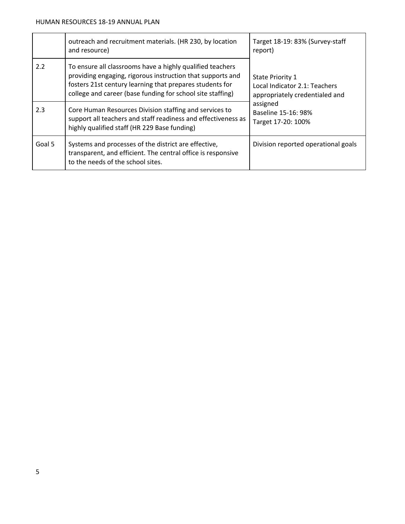|        | outreach and recruitment materials. (HR 230, by location<br>and resource)                                                                                                                                                                         | Target 18-19: 83% (Survey-staff<br>report)                                          |
|--------|---------------------------------------------------------------------------------------------------------------------------------------------------------------------------------------------------------------------------------------------------|-------------------------------------------------------------------------------------|
| 2.2    | To ensure all classrooms have a highly qualified teachers<br>providing engaging, rigorous instruction that supports and<br>fosters 21st century learning that prepares students for<br>college and career (base funding for school site staffing) | State Priority 1<br>Local Indicator 2.1: Teachers<br>appropriately credentialed and |
| 2.3    | Core Human Resources Division staffing and services to<br>support all teachers and staff readiness and effectiveness as<br>highly qualified staff (HR 229 Base funding)                                                                           | assigned<br>Baseline 15-16: 98%<br>Target 17-20: 100%                               |
| Goal 5 | Systems and processes of the district are effective,<br>transparent, and efficient. The central office is responsive<br>to the needs of the school sites.                                                                                         | Division reported operational goals                                                 |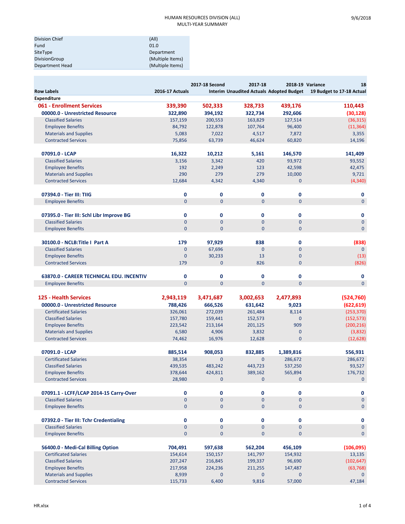| Division Chief         | (A  )            |
|------------------------|------------------|
| Fund                   | 01.0             |
| SiteType               | Department       |
| <b>DivisionGroup</b>   | (Multiple Items) |
| <b>Department Head</b> | (Multiple Items) |

|                                                             |                        | 2017-18 Second | 2017-18                                         |                       | 2018-19 Variance<br>18    |
|-------------------------------------------------------------|------------------------|----------------|-------------------------------------------------|-----------------------|---------------------------|
| <b>Row Labels</b>                                           | <b>2016-17 Actuals</b> |                | <b>Interim Unaudited Actuals Adopted Budget</b> |                       | 19 Budget to 17-18 Actual |
| <b>Expenditure</b>                                          |                        |                |                                                 |                       |                           |
| 061 - Enrollment Services                                   | 339,390                | 502,333        | 328,733                                         | 439,176               | 110,443                   |
| 00000.0 - Unrestricted Resource                             | 322,890                | 394,192        | 322,734                                         | 292,606               | (30, 128)                 |
| <b>Classified Salaries</b>                                  | 157,159                | 200,553        | 163,829                                         | 127,514               | (36, 315)                 |
| <b>Employee Benefits</b>                                    | 84,792                 | 122,878        | 107,764                                         | 96,400                | (11, 364)                 |
| <b>Materials and Supplies</b>                               | 5,083                  | 7,022          | 4,517                                           | 7,872                 | 3,355                     |
| <b>Contracted Services</b>                                  | 75,856                 | 63,739         | 46,624                                          | 60,820                | 14,196                    |
| 07091.0 - LCAP                                              | 16,322                 | 10,212         | 5,161                                           | 146,570               | 141,409                   |
| <b>Classified Salaries</b>                                  | 3,156                  | 3,342          | 420                                             | 93,972                | 93,552                    |
| <b>Employee Benefits</b>                                    | 192                    | 2,249          | 123                                             | 42,598                | 42,475                    |
| <b>Materials and Supplies</b>                               | 290                    | 279            | 279                                             | 10,000                | 9,721                     |
| <b>Contracted Services</b>                                  | 12,684                 | 4,342          | 4,340                                           | $\mathbf{0}$          | (4, 340)                  |
| 07394.0 - Tier III: TIIG                                    | 0                      | 0              | 0                                               | $\mathbf 0$           | 0                         |
| <b>Employee Benefits</b>                                    | $\overline{0}$         | $\overline{0}$ | $\Omega$                                        | $\overline{0}$        | $\mathbf{0}$              |
|                                                             |                        |                |                                                 |                       |                           |
| 07395.0 - Tier III: Schl Libr Improve BG                    | 0                      | $\mathbf 0$    | $\mathbf 0$                                     | $\mathbf 0$           | $\mathbf 0$               |
| <b>Classified Salaries</b>                                  | $\mathbf{0}$           | $\overline{0}$ | $\overline{0}$                                  | $\mathbf{0}$          | $\mathbf{0}$              |
| <b>Employee Benefits</b>                                    | $\mathbf{0}$           | $\overline{0}$ | $\overline{0}$                                  | $\overline{0}$        | $\mathbf{0}$              |
| 30100.0 - NCLB: Title I Part A                              | 179                    | 97,929         | 838                                             | $\mathbf 0$           | (838)                     |
| <b>Classified Salaries</b>                                  | $\mathbf{0}$           | 67,696         | $\overline{0}$                                  | $\overline{0}$        | $\mathbf{0}$              |
| <b>Employee Benefits</b>                                    | $\overline{0}$         | 30,233         | 13                                              | $\overline{0}$        | (13)                      |
| <b>Contracted Services</b>                                  | 179                    | $\mathbf{0}$   | 826                                             | $\overline{0}$        | (826)                     |
| 63870.0 - CAREER TECHNICAL EDU. INCENTIV                    | 0                      | $\mathbf 0$    | 0                                               | $\mathbf 0$           | 0                         |
| <b>Employee Benefits</b>                                    | $\Omega$               | $\overline{0}$ | $\overline{0}$                                  | $\overline{0}$        | $\mathbf{0}$              |
|                                                             |                        |                |                                                 |                       |                           |
| <b>125 - Health Services</b>                                | 2,943,119              | 3,471,687      | 3,002,653                                       | 2,477,893             | (524, 760)                |
| 00000.0 - Unrestricted Resource                             | 788,426                | 666,526        | 631,642                                         | 9,023                 | (622, 619)                |
| <b>Certificated Salaries</b>                                | 326,061                | 272,039        | 261,484                                         | 8,114                 | (253, 370)                |
| <b>Classified Salaries</b>                                  | 157,780                | 159,441        | 152,573                                         | $\mathbf{0}$          | (152, 573)                |
| <b>Employee Benefits</b>                                    | 223,542                | 213,164        | 201,125                                         | 909                   | (200, 216)                |
| <b>Materials and Supplies</b>                               | 6,580                  | 4,906          | 3,832                                           | 0                     | (3,832)                   |
| <b>Contracted Services</b>                                  | 74,462                 | 16,976         | 12,628                                          | $\overline{0}$        | (12, 628)                 |
| 07091.0 - LCAP                                              | 885,514                | 908,053        | 832,885                                         | 1,389,816             | 556,931                   |
| <b>Certificated Salaries</b>                                | 38,354                 | $\overline{0}$ | $\overline{0}$                                  | 286,672               | 286,672                   |
| <b>Classified Salaries</b>                                  | 439,535                | 483,242        | 443,723                                         | 537,250               | 93,527                    |
| <b>Employee Benefits</b>                                    | 378,644                | 424,811        | 389,162                                         | 565,894               | 176,732                   |
| <b>Contracted Services</b>                                  | 28,980                 | 0              | $\mathbf{0}$                                    | $\mathbf 0$           | $\mathbf{0}$              |
| 07091.1 - LCFF/LCAP 2014-15 Carry-Over                      | 0                      | 0              | $\mathbf 0$                                     | $\mathbf 0$           | 0                         |
| <b>Classified Salaries</b>                                  | $\mathbf{0}$           | $\mathbf{0}$   | $\mathbf{0}$                                    | $\overline{0}$        | $\mathbf{0}$              |
| <b>Employee Benefits</b>                                    | $\mathbf{0}$           | 0              | $\mathbf{0}$                                    | $\overline{0}$        | $\mathbf 0$               |
| 07392.0 - Tier III: Tchr Credentialing                      | 0                      | 0              | $\mathbf 0$                                     | $\mathbf 0$           | 0                         |
| <b>Classified Salaries</b>                                  | $\overline{0}$         | $\mathbf{0}$   | $\mathbf 0$                                     | $\mathbf 0$           | $\pmb{0}$                 |
| <b>Employee Benefits</b>                                    | $\mathbf 0$            | $\mathbf 0$    | $\mathbf{0}$                                    | $\mathbf 0$           | $\mathbf 0$               |
|                                                             |                        |                |                                                 |                       |                           |
| 56400.0 - Medi-Cal Billing Option                           | 704,491                | 597,638        | 562,204                                         | 456,109               | (106, 095)                |
| <b>Certificated Salaries</b>                                | 154,614                | 150,157        | 141,797                                         | 154,932               | 13,135                    |
| <b>Classified Salaries</b>                                  | 207,247                | 216,845        | 199,337                                         | 96,690                | (102, 647)                |
| <b>Employee Benefits</b>                                    | 217,958                | 224,236        | 211,255                                         | 147,487               | (63, 768)                 |
| <b>Materials and Supplies</b><br><b>Contracted Services</b> | 8,939<br>115,733       | 0<br>6,400     | $\mathbf{0}$<br>9,816                           | $\mathbf 0$<br>57,000 | $\mathbf{0}$<br>47,184    |
|                                                             |                        |                |                                                 |                       |                           |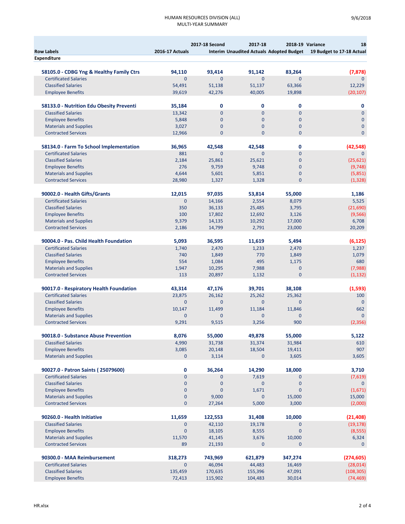### HUMAN RESOURCES DIVISION (ALL) MULTI‐YEAR SUMMARY

|                                                                         |                          | 2017-18 Second     | 2017-18               |                       | 2018-19 Variance<br>18                                             |
|-------------------------------------------------------------------------|--------------------------|--------------------|-----------------------|-----------------------|--------------------------------------------------------------------|
| <b>Row Labels</b>                                                       | <b>2016-17 Actuals</b>   |                    |                       |                       | Interim Unaudited Actuals Adopted Budget 19 Budget to 17-18 Actual |
| <b>Expenditure</b>                                                      |                          |                    |                       |                       |                                                                    |
| 58105.0 - CDBG Yng & Healthy Family Ctrs                                | 94,110                   | 93,414             | 91.142                | 83,264                | (7, 878)                                                           |
| <b>Certificated Salaries</b>                                            | $\overline{0}$           | $\mathbf{0}$       | $\Omega$              | $\Omega$              | $\mathbf{0}$                                                       |
| <b>Classified Salaries</b>                                              | 54,491                   | 51,138             | 51,137                | 63,366                | 12,229                                                             |
| <b>Employee Benefits</b>                                                | 39,619                   | 42,276             | 40,005                | 19,898                | (20, 107)                                                          |
|                                                                         |                          |                    |                       |                       |                                                                    |
| 58133.0 - Nutrition Edu Obesity Preventi<br><b>Classified Salaries</b>  | 35,184                   | 0<br>$\mathbf{0}$  | 0<br>$\Omega$         | 0<br>$\Omega$         | 0<br>$\Omega$                                                      |
| <b>Employee Benefits</b>                                                | 13,342<br>5,848          | $\mathbf{0}$       | $\mathbf{0}$          | $\mathbf{0}$          | $\mathbf{0}$                                                       |
| <b>Materials and Supplies</b>                                           | 3,027                    | $\overline{0}$     | $\overline{0}$        | $\overline{0}$        | $\mathbf{0}$                                                       |
| <b>Contracted Services</b>                                              | 12,966                   | $\mathbf{0}$       | $\mathbf{0}$          | $\mathbf{0}$          | $\mathbf 0$                                                        |
|                                                                         |                          |                    |                       |                       |                                                                    |
| 58134.0 - Farm To School Implementation                                 | 36,965                   | 42,548<br>$\Omega$ | 42,548<br>$\Omega$    | 0<br>$\Omega$         | (42, 548)<br>$\Omega$                                              |
| <b>Certificated Salaries</b><br><b>Classified Salaries</b>              | 881                      |                    | 25,621                | $\mathbf{0}$          |                                                                    |
| <b>Employee Benefits</b>                                                | 2,184<br>276             | 25,861<br>9,759    | 9,748                 | $\mathbf{0}$          | (25, 621)<br>(9,748)                                               |
| <b>Materials and Supplies</b>                                           | 4,644                    | 5,601              | 5,851                 | $\mathbf{0}$          | (5,851)                                                            |
| <b>Contracted Services</b>                                              | 28,980                   | 1,327              | 1,328                 | $\mathbf{0}$          | (1, 328)                                                           |
|                                                                         |                          |                    |                       |                       |                                                                    |
| 90002.0 - Health Gifts/Grants                                           | 12,015                   | 97,035             | 53,814                | 55,000                | 1,186                                                              |
| <b>Certificated Salaries</b>                                            | $\Omega$                 | 14,166             | 2,554                 | 8,079                 | 5,525                                                              |
| <b>Classified Salaries</b>                                              | 350<br>100               | 36,133             | 25.485                | 3,795                 | (21,690)                                                           |
| <b>Employee Benefits</b><br><b>Materials and Supplies</b>               | 9,379                    | 17,802<br>14,135   | 12,692<br>10,292      | 3,126<br>17,000       | (9,566)<br>6,708                                                   |
| <b>Contracted Services</b>                                              | 2,186                    | 14,799             | 2,791                 | 23,000                | 20,209                                                             |
|                                                                         |                          |                    |                       |                       |                                                                    |
| 90004.0 - Pas. Child Health Foundation                                  | 5,093                    | 36,595             | 11,619                | 5,494                 | (6, 125)                                                           |
| <b>Certificated Salaries</b>                                            | 1,740                    | 2,470              | 1,233                 | 2,470                 | 1,237                                                              |
| <b>Classified Salaries</b>                                              | 740                      | 1,849              | 770                   | 1,849                 | 1,079                                                              |
| <b>Employee Benefits</b>                                                | 554                      | 1,084              | 495                   | 1,175<br>$\mathbf{0}$ | 680                                                                |
| <b>Materials and Supplies</b><br><b>Contracted Services</b>             | 1,947<br>113             | 10,295<br>20,897   | 7,988<br>1,132        | $\mathbf{0}$          | (7,988)<br>(1, 132)                                                |
|                                                                         |                          |                    |                       |                       |                                                                    |
| 90017.0 - Respiratory Health Foundation<br><b>Certificated Salaries</b> | 43,314                   | 47,176             | 39,701                | 38,108                | (1,593)                                                            |
| <b>Classified Salaries</b>                                              | 23,875<br>$\Omega$       | 26,162<br>$\Omega$ | 25,262<br>$\Omega$    | 25,362<br>$\Omega$    | 100<br>$\Omega$                                                    |
| <b>Employee Benefits</b>                                                | 10,147                   | 11,499             | 11,184                | 11,846                | 662                                                                |
| <b>Materials and Supplies</b>                                           | $\overline{0}$           | $\Omega$           | $\mathbf{0}$          | $\Omega$              | $\Omega$                                                           |
| <b>Contracted Services</b>                                              | 9,291                    | 9,515              | 3,256                 | 900                   | (2,356)                                                            |
|                                                                         |                          |                    |                       |                       |                                                                    |
| 90018.0 - Substance Abuse Prevention                                    | 8,076                    | 55,000             | 49,878                | 55,000                | 5,122                                                              |
| <b>Classified Salaries</b><br><b>Employee Benefits</b>                  | 4,990<br>3,085           | 31,738             | 31,374<br>18,504      | 31,984                | 610<br>907                                                         |
| <b>Materials and Supplies</b>                                           | 0                        | 20,148<br>3,114    | 0                     | 19,411<br>3,605       | 3,605                                                              |
|                                                                         |                          |                    |                       |                       |                                                                    |
| 90027.0 - Patron Saints (25079600)                                      | $\pmb{0}$                | 36,264             | 14,290                | 18,000                | 3,710                                                              |
| <b>Certificated Salaries</b>                                            | 0                        | $\mathbf 0$        | 7,619                 | $\mathbf 0$           | (7,619)                                                            |
| <b>Classified Salaries</b>                                              | $\pmb{0}$                | $\mathbf 0$        | $\mathbf 0$           | $\mathbf{0}$          | $\mathbf 0$                                                        |
| <b>Employee Benefits</b>                                                | $\pmb{0}$                | $\pmb{0}$          | 1,671                 | $\mathbf{0}$          | (1,671)                                                            |
| <b>Materials and Supplies</b><br><b>Contracted Services</b>             | $\pmb{0}$<br>$\mathbf 0$ | 9,000<br>27,264    | $\mathbf{0}$<br>5,000 | 15,000<br>3,000       | 15,000<br>(2,000)                                                  |
|                                                                         |                          |                    |                       |                       |                                                                    |
| 90260.0 - Health Initiative                                             | 11,659                   | 122,553            | 31,408                | 10,000                | (21, 408)                                                          |
| <b>Classified Salaries</b>                                              | 0                        | 42,110             | 19,178                | $\mathbf 0$           | (19, 178)                                                          |
| <b>Employee Benefits</b>                                                | $\mathbf{0}$             | 18,105             | 8,555                 | $\mathbf{0}$          | (8, 555)                                                           |
| <b>Materials and Supplies</b><br><b>Contracted Services</b>             | 11,570<br>89             | 41,145<br>21,193   | 3,676<br>0            | 10,000<br>$\mathbf 0$ | 6,324<br>$\mathbf 0$                                               |
|                                                                         |                          |                    |                       |                       |                                                                    |
| 90300.0 - MAA Reimbursement                                             | 318,273                  | 743,969            | 621,879               | 347,274               | (274, 605)                                                         |
| <b>Certificated Salaries</b>                                            | $\mathbf{0}$             | 46,094             | 44,483                | 16,469                | (28, 014)                                                          |
| <b>Classified Salaries</b>                                              | 135,459                  | 170,635            | 155,396               | 47,091                | (108, 305)                                                         |
| <b>Employee Benefits</b>                                                | 72,413                   | 115,902            | 104,483               | 30,014                | (74,469)                                                           |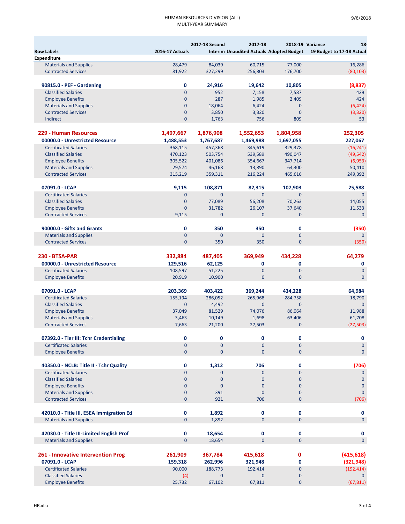#### HUMAN RESOURCES DIVISION (ALL) MULTI‐YEAR SUMMARY

|                                                                         |                         | 2017-18 Second        | 2017-18                                         |                              | 2018-19 Variance<br>18    |
|-------------------------------------------------------------------------|-------------------------|-----------------------|-------------------------------------------------|------------------------------|---------------------------|
| <b>Row Labels</b>                                                       | 2016-17 Actuals         |                       | <b>Interim Unaudited Actuals Adopted Budget</b> |                              | 19 Budget to 17-18 Actual |
| <b>Expenditure</b>                                                      |                         |                       |                                                 |                              |                           |
| <b>Materials and Supplies</b>                                           | 28,479                  | 84,039                | 60,715                                          | 77,000                       | 16,286                    |
| <b>Contracted Services</b>                                              | 81,922                  | 327,299               | 256,803                                         | 176,700                      | (80, 103)                 |
| 90815.0 - PEF - Gardening                                               | 0                       | 24,916                | 19,642                                          | 10,805                       | (8,837)                   |
| <b>Classified Salaries</b>                                              | $\mathbf{0}$            | 952                   | 7,158                                           | 7,587                        | 429                       |
| <b>Employee Benefits</b>                                                | $\mathbf{0}$            | 287                   | 1,985                                           | 2,409                        | 424                       |
| <b>Materials and Supplies</b>                                           | $\mathbf{0}$            | 18,064                | 6,424                                           | $\mathbf{0}$                 | (6, 424)                  |
| <b>Contracted Services</b>                                              | $\mathbf{0}$            | 3,850                 | 3,320                                           | $\mathbf{0}$                 | (3, 320)                  |
| Indirect                                                                | $\overline{0}$          | 1,763                 | 756                                             | 809                          | 53                        |
| 229 - Human Resources                                                   | 1,497,667               | 1,876,908             | 1,552,653                                       | 1,804,958                    | 252,305                   |
| 00000.0 - Unrestricted Resource                                         | 1,488,553               | 1,767,687             | 1,469,988                                       | 1,697,055                    | 227,067                   |
| <b>Certificated Salaries</b>                                            | 368,115                 | 457,368               | 345,619                                         | 329,378                      | (16, 241)                 |
| <b>Classified Salaries</b>                                              | 470,123                 | 503,754               | 539,589                                         | 490,047                      | (49, 542)                 |
| <b>Employee Benefits</b>                                                | 305,522                 | 401,086               | 354,667                                         | 347,714                      | (6,953)                   |
| <b>Materials and Supplies</b>                                           | 29,574                  | 46,168                | 13,890                                          | 64,300                       | 50,410                    |
| <b>Contracted Services</b>                                              | 315,219                 | 359,311               | 216,224                                         | 465,616                      | 249,392                   |
| 07091.0 - LCAP                                                          | 9,115                   | 108,871               | 82,315                                          | 107,903                      | 25,588                    |
| <b>Certificated Salaries</b>                                            | $\overline{0}$          | $\mathbf{0}$          | $\overline{0}$                                  | $\mathbf{0}$                 | $\mathbf{0}$              |
| <b>Classified Salaries</b>                                              | $\mathbf{0}$            | 77,089                | 56,208                                          | 70,263                       | 14,055                    |
| <b>Employee Benefits</b>                                                | $\overline{0}$          | 31,782                | 26,107                                          | 37,640                       | 11,533                    |
| <b>Contracted Services</b>                                              | 9,115                   | $\mathbf{0}$          | $\overline{0}$                                  | $\mathbf{0}$                 | $\Omega$                  |
| 90000.0 - Gifts and Grants                                              | 0                       | 350                   | 350                                             | 0                            | (350)                     |
| <b>Materials and Supplies</b>                                           | $\mathbf{0}$            | $\mathbf{0}$          | $\overline{0}$                                  | $\overline{0}$               | $\mathbf{0}$              |
| <b>Contracted Services</b>                                              | $\mathbf{0}$            | 350                   | 350                                             | $\mathbf{0}$                 | (350)                     |
| <b>230 - BTSA-PAR</b>                                                   |                         |                       |                                                 |                              |                           |
| 00000.0 - Unrestricted Resource                                         | 332,884                 | 487,405               | 369,949<br>0                                    | 434,228<br>0                 | 64,279<br>0               |
| <b>Certificated Salaries</b>                                            | 129,516<br>108,597      | 62,125                | $\overline{0}$                                  | $\mathbf{0}$                 | $\mathbf{0}$              |
| <b>Employee Benefits</b>                                                | 20,919                  | 51,225<br>10,900      | $\mathbf{0}$                                    | $\Omega$                     | $\mathbf{0}$              |
|                                                                         |                         |                       |                                                 |                              |                           |
| 07091.0 - LCAP<br><b>Certificated Salaries</b>                          | 203,369                 | 403,422               | 369,244                                         | 434,228                      | 64,984                    |
| <b>Classified Salaries</b>                                              | 155,194<br>$\mathbf{0}$ | 286.052<br>4,492      | 265,968<br>$\mathbf{0}$                         | 284,758<br>$\Omega$          | 18,790<br>$\Omega$        |
| <b>Employee Benefits</b>                                                | 37,049                  | 81,529                | 74,076                                          | 86,064                       | 11,988                    |
| <b>Materials and Supplies</b>                                           | 3,463                   | 10,149                | 1,698                                           | 63.406                       | 61,708                    |
| <b>Contracted Services</b>                                              | 7,663                   | 21,200                | 27,503                                          | $\mathbf{0}$                 | (27, 503)                 |
|                                                                         |                         |                       |                                                 |                              |                           |
| 07392.0 - Tier III: Tchr Credentialing                                  | 0<br>$\mathbf 0$        | 0<br>$\mathbf 0$      | 0<br>$\overline{0}$                             | 0<br>$\overline{0}$          | 0<br>$\mathbf 0$          |
| <b>Certificated Salaries</b><br><b>Employee Benefits</b>                | $\mathbf{0}$            | $\pmb{0}$             | $\overline{0}$                                  | $\mathbf{0}$                 | $\mathbf{0}$              |
|                                                                         |                         |                       |                                                 |                              |                           |
| 40350.0 - NCLB: Title II - Tchr Quality<br><b>Certificated Salaries</b> | 0<br>$\overline{0}$     | 1,312<br>$\mathbf{0}$ | 706<br>$\mathbf{0}$                             | 0<br>$\mathbf{0}$            | (706)<br>$\mathbf{0}$     |
| <b>Classified Salaries</b>                                              | $\mathbf 0$             | $\pmb{0}$             | $\mathbf{0}$                                    | $\pmb{0}$                    | $\mathbf 0$               |
| <b>Employee Benefits</b>                                                | $\mathbf 0$             | $\mathbf 0$           | $\overline{0}$                                  | $\mathbf{0}$                 | $\mathbf 0$               |
| <b>Materials and Supplies</b>                                           | $\mathbf 0$             | 391                   | 0                                               | $\overline{0}$               | $\mathbf{0}$              |
| <b>Contracted Services</b>                                              | $\mathbf{0}$            | 921                   | 706                                             | $\mathbf{0}$                 | (706)                     |
|                                                                         |                         |                       |                                                 |                              |                           |
| 42010.0 - Title III, ESEA Immigration Ed                                | 0                       | 1,892                 | 0                                               | $\mathbf 0$                  | $\mathbf 0$               |
| <b>Materials and Supplies</b>                                           | $\mathbf{0}$            | 1,892                 | $\overline{0}$                                  | $\overline{0}$               | $\mathbf 0$               |
| 42030.0 - Title III-Limited English Prof                                | 0                       | 18,654                | 0                                               | 0                            | 0                         |
| <b>Materials and Supplies</b>                                           | $\mathbf 0$             | 18,654                | $\overline{0}$                                  | $\overline{0}$               | $\mathbf{0}$              |
|                                                                         |                         |                       |                                                 |                              |                           |
| 261 - Innovative Intervention Prog                                      | 261,909                 | 367,784               | 415,618                                         | 0                            | (415, 618)                |
| 07091.0 - LCAP                                                          | 159,318                 | 262,996               | 321,948                                         | 0                            | (321, 948)                |
| <b>Certificated Salaries</b><br><b>Classified Salaries</b>              | 90,000<br>(4)           | 188,773<br>0          | 192,414<br>0                                    | $\mathbf{0}$<br>$\mathbf{0}$ | (192, 414)                |
| <b>Employee Benefits</b>                                                | 25,732                  | 67,102                | 67,811                                          | $\mathbf 0$                  | (67, 811)                 |